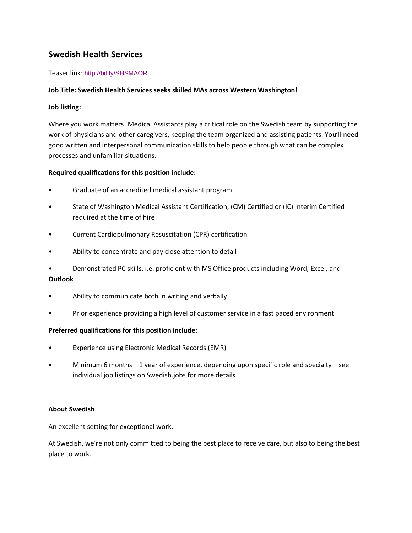# **Swedish Health Services**

### Teaser link: <http://bit.ly/SHSMAOR>

### **Job Title: Swedish Health Services seeks skilled MAs across Western Washington!**

## **Job listing:**

Where you work matters! Medical Assistants play a critical role on the Swedish team by supporting the work of physicians and other caregivers, keeping the team organized and assisting patients. You'll need good written and interpersonal communication skills to help people through what can be complex processes and unfamiliar situations.

### **Required qualifications for this position include:**

- Graduate of an accredited medical assistant program
- State of Washington Medical Assistant Certification; (CM) Certified or (IC) Interim Certified required at the time of hire
- Current Cardiopulmonary Resuscitation (CPR) certification
- Ability to concentrate and pay close attention to detail
- Demonstrated PC skills, i.e. proficient with MS Office products including Word, Excel, and

### **Outlook**

- Ability to communicate both in writing and verbally
- Prior experience providing a high level of customer service in a fast paced environment

### **Preferred qualifications for this position include:**

- Experience using Electronic Medical Records (EMR)
- Minimum 6 months  $-1$  year of experience, depending upon specific role and specialty  $-$  see individual job listings on Swedish.jobs for more details

### **About Swedish**

An excellent setting for exceptional work.

At Swedish, we're not only committed to being the best place to receive care, but also to being the best place to work.